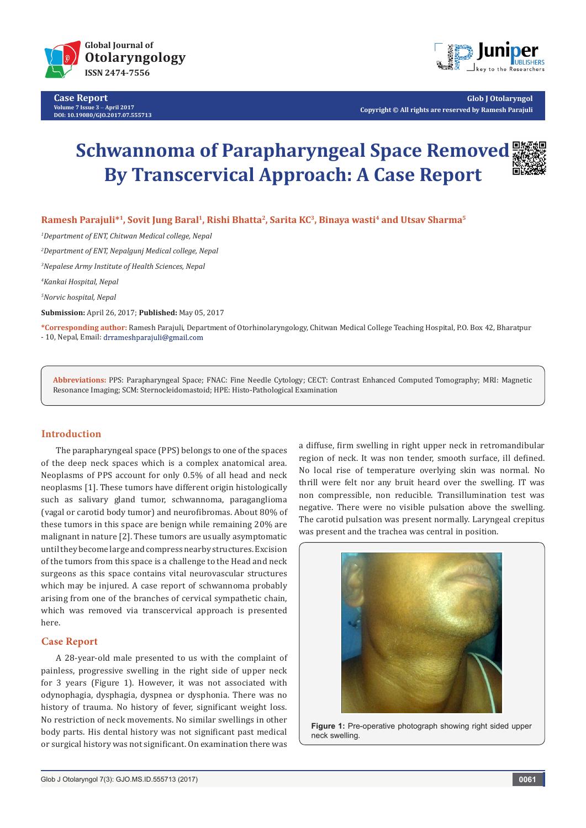

**Case Report Volume 7 Issue 3** - **April 2017 DOI: [10.19080/GJO.2017.07.555713](http://dx.doi.org/10.19080/GJO.2017.07.555713)**



**Glob J Otolaryngol Copyright © All rights are reserved by Ramesh Parajuli**

# **Schwannoma of Parapharyngeal Space Removed By Transcervical Approach: A Case Report**

Ramesh Parajuli<sup>\*1</sup>, Sovit Jung Baral<sup>1</sup>, Rishi Bhatta<sup>2</sup>, Sarita KC<sup>3</sup>, Binaya wasti<sup>4</sup> and Utsav Sharma<sup>5</sup>

 *Department of ENT, Chitwan Medical college, Nepal Department of ENT, Nepalgunj Medical college, Nepal Nepalese Army Institute of Health Sciences, Nepal Kankai Hospital, Nepal*

*5 Norvic hospital, Nepal*

**Submission:** April 26, 2017; **Published:** May 05, 2017

**\*Corresponding author:** Ramesh Parajuli, Department of Otorhinolaryngology, Chitwan Medical College Teaching Hospital, P.O. Box 42, Bharatpur - 10, Nepal, Email: drrameshparajuli@gmail.com

**Abbreviations:** PPS: Parapharyngeal Space; FNAC: Fine Needle Cytology; CECT: Contrast Enhanced Computed Tomography; MRI: Magnetic Resonance Imaging; SCM: Sternocleidomastoid; HPE: Histo-Pathological Examination

## **Introduction**

The parapharyngeal space (PPS) belongs to one of the spaces of the deep neck spaces which is a complex anatomical area. Neoplasms of PPS account for only 0.5% of all head and neck neoplasms [1]. These tumors have different origin histologically such as salivary gland tumor, schwannoma, paraganglioma (vagal or carotid body tumor) and neurofibromas. About 80% of these tumors in this space are benign while remaining 20% are malignant in nature [2]. These tumors are usually asymptomatic until they become large and compress nearby structures. Excision of the tumors from this space is a challenge to the Head and neck surgeons as this space contains vital neurovascular structures which may be injured. A case report of schwannoma probably arising from one of the branches of cervical sympathetic chain, which was removed via transcervical approach is presented here.

## **Case Report**

A 28-year-old male presented to us with the complaint of painless, progressive swelling in the right side of upper neck for 3 years (Figure 1). However, it was not associated with odynophagia, dysphagia, dyspnea or dysphonia. There was no history of trauma. No history of fever, significant weight loss. No restriction of neck movements. No similar swellings in other body parts. His dental history was not significant past medical or surgical history was not significant. On examination there was

a diffuse, firm swelling in right upper neck in retromandibular region of neck. It was non tender, smooth surface, ill defined. No local rise of temperature overlying skin was normal. No thrill were felt nor any bruit heard over the swelling. IT was non compressible, non reducible. Transillumination test was negative. There were no visible pulsation above the swelling. The carotid pulsation was present normally. Laryngeal crepitus was present and the trachea was central in position.



**Figure 1:** Pre-operative photograph showing right sided upper neck swelling.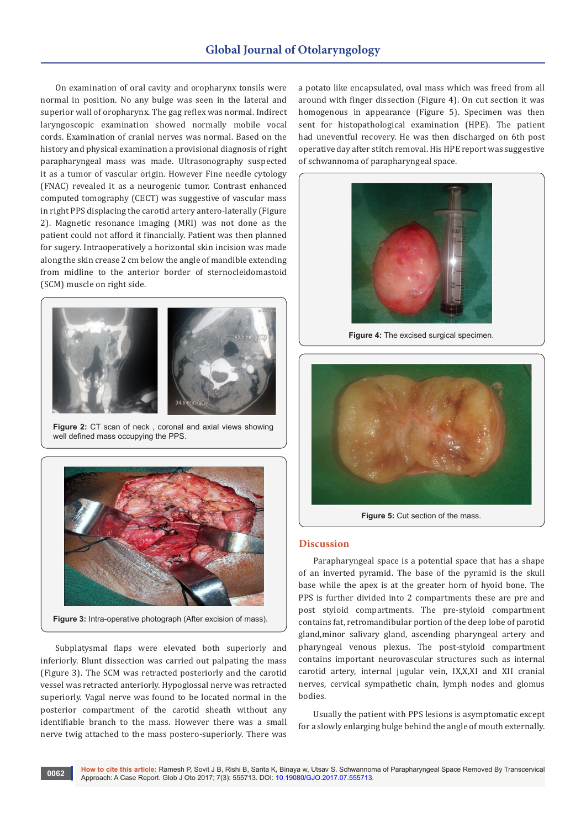On examination of oral cavity and oropharynx tonsils were normal in position. No any bulge was seen in the lateral and superior wall of oropharynx. The gag reflex was normal. Indirect laryngoscopic examination showed normally mobile vocal cords. Examination of cranial nerves was normal. Based on the history and physical examination a provisional diagnosis of right parapharyngeal mass was made. Ultrasonography suspected it as a tumor of vascular origin. However Fine needle cytology (FNAC) revealed it as a neurogenic tumor. Contrast enhanced computed tomography (CECT) was suggestive of vascular mass in right PPS displacing the carotid artery antero-laterally (Figure 2). Magnetic resonance imaging (MRI) was not done as the patient could not afford it financially. Patient was then planned for sugery. Intraoperatively a horizontal skin incision was made along the skin crease 2 cm below the angle of mandible extending from midline to the anterior border of sternocleidomastoid (SCM) muscle on right side.



Figure 2: CT scan of neck, coronal and axial views showing well defined mass occupying the PPS.



**Figure 3:** Intra-operative photograph (After excision of mass).

Subplatysmal flaps were elevated both superiorly and inferiorly. Blunt dissection was carried out palpating the mass (Figure 3). The SCM was retracted posteriorly and the carotid vessel was retracted anteriorly. Hypoglossal nerve was retracted superiorly. Vagal nerve was found to be located normal in the posterior compartment of the carotid sheath without any identifiable branch to the mass. However there was a small nerve twig attached to the mass postero-superiorly. There was a potato like encapsulated, oval mass which was freed from all around with finger dissection (Figure 4). On cut section it was homogenous in appearance (Figure 5). Specimen was then sent for histopathological examination (HPE). The patient had uneventful recovery. He was then discharged on 6th post operative day after stitch removal. His HPE report was suggestive of schwannoma of parapharyngeal space.



**Figure 4:** The excised surgical specimen.



Figure 5: Cut section of the mass.

#### **Discussion**

Parapharyngeal space is a potential space that has a shape of an inverted pyramid. The base of the pyramid is the skull base while the apex is at the greater horn of hyoid bone. The PPS is further divided into 2 compartments these are pre and post styloid compartments. The pre-styloid compartment contains fat, retromandibular portion of the deep lobe of parotid gland,minor salivary gland, ascending pharyngeal artery and pharyngeal venous plexus. The post-styloid compartment contains important neurovascular structures such as internal carotid artery, internal jugular vein, IX,X,XI and XII cranial nerves, cervical sympathetic chain, lymph nodes and glomus bodies.

Usually the patient with PPS lesions is asymptomatic except for a slowly enlarging bulge behind the angle of mouth externally.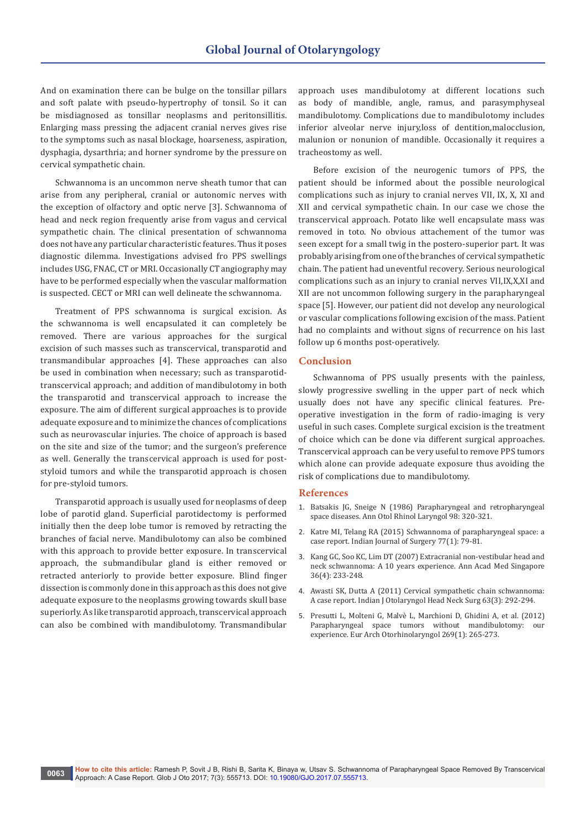And on examination there can be bulge on the tonsillar pillars and soft palate with pseudo-hypertrophy of tonsil. So it can be misdiagnosed as tonsillar neoplasms and peritonsillitis. Enlarging mass pressing the adjacent cranial nerves gives rise to the symptoms such as nasal blockage, hoarseness, aspiration, dysphagia, dysarthria; and horner syndrome by the pressure on cervical sympathetic chain.

Schwannoma is an uncommon nerve sheath tumor that can arise from any peripheral, cranial or autonomic nerves with the exception of olfactory and optic nerve [3]. Schwannoma of head and neck region frequently arise from vagus and cervical sympathetic chain. The clinical presentation of schwannoma does not have any particular characteristic features. Thus it poses diagnostic dilemma. Investigations advised fro PPS swellings includes USG, FNAC, CT or MRI. Occasionally CT angiography may have to be performed especially when the vascular malformation is suspected. CECT or MRI can well delineate the schwannoma.

Treatment of PPS schwannoma is surgical excision. As the schwannoma is well encapsulated it can completely be removed. There are various approaches for the surgical excision of such masses such as transcervical, transparotid and transmandibular approaches [4]. These approaches can also be used in combination when necessary; such as transparotidtranscervical approach; and addition of mandibulotomy in both the transparotid and transcervical approach to increase the exposure. The aim of different surgical approaches is to provide adequate exposure and to minimize the chances of complications such as neurovascular injuries. The choice of approach is based on the site and size of the tumor; and the surgeon's preference as well. Generally the transcervical approach is used for poststyloid tumors and while the transparotid approach is chosen for pre-styloid tumors.

Transparotid approach is usually used for neoplasms of deep lobe of parotid gland. Superficial parotidectomy is performed initially then the deep lobe tumor is removed by retracting the branches of facial nerve. Mandibulotomy can also be combined with this approach to provide better exposure. In transcervical approach, the submandibular gland is either removed or retracted anteriorly to provide better exposure. Blind finger dissection is commonly done in this approach as this does not give adequate exposure to the neoplasms growing towards skull base superiorly. As like transparotid approach, transcervical approach can also be combined with mandibulotomy. Transmandibular

approach uses mandibulotomy at different locations such as body of mandible, angle, ramus, and parasymphyseal mandibulotomy. Complications due to mandibulotomy includes inferior alveolar nerve injury,loss of dentition,malocclusion, malunion or nonunion of mandible. Occasionally it requires a tracheostomy as well.

Before excision of the neurogenic tumors of PPS, the patient should be informed about the possible neurological complications such as injury to cranial nerves VII, IX, X, XI and XII and cervical sympathetic chain. In our case we chose the transcervical approach. Potato like well encapsulate mass was removed in toto. No obvious attachement of the tumor was seen except for a small twig in the postero-superior part. It was probably arising from one of the branches of cervical sympathetic chain. The patient had uneventful recovery. Serious neurological complications such as an injury to cranial nerves VII,IX,X,XI and XII are not uncommon following surgery in the parapharyngeal space [5]. However, our patient did not develop any neurological or vascular complications following excision of the mass. Patient had no complaints and without signs of recurrence on his last follow up 6 months post-operatively.

### **Conclusion**

Schwannoma of PPS usually presents with the painless, slowly progressive swelling in the upper part of neck which usually does not have any specific clinical features. Preoperative investigation in the form of radio-imaging is very useful in such cases. Complete surgical excision is the treatment of choice which can be done via different surgical approaches. Transcervical approach can be very useful to remove PPS tumors which alone can provide adequate exposure thus avoiding the risk of complications due to mandibulotomy.

#### **References**

- 1. [Batsakis JG, Sneige N \(1986\) Parapharyngeal and retropharyngeal](https://www.ncbi.nlm.nih.gov/pubmed/2650597)  [space diseases. Ann Otol Rhinol Laryngol 98: 320-321.](https://www.ncbi.nlm.nih.gov/pubmed/2650597)
- 2. [Katre MI, Telang RA \(2015\) Schwannoma of parapharyngeal space: a](https://www.ncbi.nlm.nih.gov/pmc/articles/PMC4376844/)  [case report. Indian Journal of Surgery 77\(1\): 79-81.](https://www.ncbi.nlm.nih.gov/pmc/articles/PMC4376844/)
- 3. [Kang GC, Soo KC, Lim DT \(2007\) Extracranial non-vestibular head and](https://www.ncbi.nlm.nih.gov/pubmed/17483850)  [neck schwannoma: A 10 years experience. Ann Acad Med Singapore](https://www.ncbi.nlm.nih.gov/pubmed/17483850)  [36\(4\): 233-248.](https://www.ncbi.nlm.nih.gov/pubmed/17483850)
- 4. [Awasti SK, Dutta A \(2011\) Cervical sympathetic chain schwannoma:](https://www.ncbi.nlm.nih.gov/pmc/articles/PMC3138947/)  [A case report. Indian J Otolaryngol Head Neck Surg 63\(3\): 292-294.](https://www.ncbi.nlm.nih.gov/pmc/articles/PMC3138947/)
- 5. [Presutti L, Molteni G, Malvè L, Marchioni D, Ghidini A, et al. \(2012\)](https://www.ncbi.nlm.nih.gov/pubmed/21461894)  [Parapharyngeal space tumors without mandibulotomy: our](https://www.ncbi.nlm.nih.gov/pubmed/21461894)  experience. [Eur Arch Otorhinolaryngol 269\(1\): 265-273.](https://www.ncbi.nlm.nih.gov/pubmed/21461894)